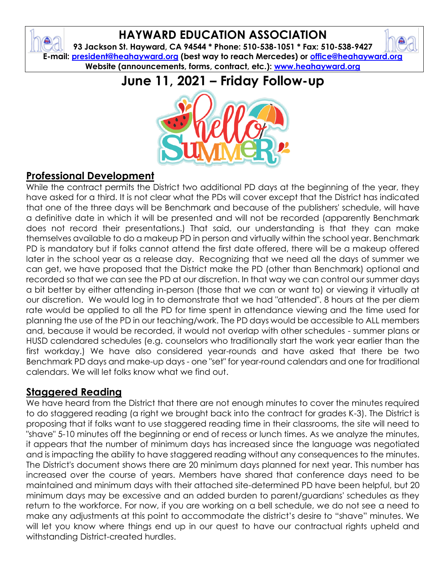### **HAYWARD EDUCATION ASSOCIATION**

ê

**93 Jackson St. Hayward, CA 94544 \* Phone: 510-538-1051 \* Fax: 510-538-9427 E-mail: [president@heahayward.org](mailto:president@heahayward.org) (best way to reach Mercedes) or [office@heahayward.org](mailto:office@heahayward.org) Website (announcements, forms, contract, etc.): [www.heahayward.org](http://www.heahayward.org/)**

## **June 11, 2021 – Friday Follow-up**



#### **Professional Development**

While the contract permits the District two additional PD days at the beginning of the year, they have asked for a third. It is not clear what the PDs will cover except that the District has indicated that one of the three days will be Benchmark and because of the publishers' schedule, will have a definitive date in which it will be presented and will not be recorded (apparently Benchmark does not record their presentations.) That said, our understanding is that they can make themselves available to do a makeup PD in person and virtually within the school year. Benchmark PD is mandatory but if folks cannot attend the first date offered, there will be a makeup offered later in the school year as a release day. Recognizing that we need all the days of summer we can get, we have proposed that the District make the PD (other than Benchmark) optional and recorded so that we can see the PD at our discretion. In that way we can control our summer days a bit better by either attending in-person (those that we can or want to) or viewing it virtually at our discretion. We would log in to demonstrate that we had "attended". 8 hours at the per diem rate would be applied to all the PD for time spent in attendance viewing and the time used for planning the use of the PD in our teaching/work. The PD days would be accessible to ALL members and, because it would be recorded, it would not overlap with other schedules - summer plans or HUSD calendared schedules (e.g. counselors who traditionally start the work year earlier than the first workday.) We have also considered year-rounds and have asked that there be two Benchmark PD days and make-up days - one "set" for year-round calendars and one for traditional calendars. We will let folks know what we find out.

#### **Staggered Reading**

We have heard from the District that there are not enough minutes to cover the minutes required to do staggered reading (a right we brought back into the contract for grades K-3). The District is proposing that if folks want to use staggered reading time in their classrooms, the site will need to "shave" 5-10 minutes off the beginning or end of recess or lunch times. As we analyze the minutes, it appears that the number of minimum days has increased since the language was negotiated and is impacting the ability to have staggered reading without any consequences to the minutes. The District's document shows there are 20 minimum days planned for next year. This number has increased over the course of years. Members have shared that conference days need to be maintained and minimum days with their attached site-determined PD have been helpful, but 20 minimum days may be excessive and an added burden to parent/guardians' schedules as they return to the workforce. For now, if you are working on a bell schedule, we do not see a need to make any adjustments at this point to accommodate the district's desire to "shave" minutes. We will let you know where things end up in our quest to have our contractual rights upheld and withstanding District-created hurdles.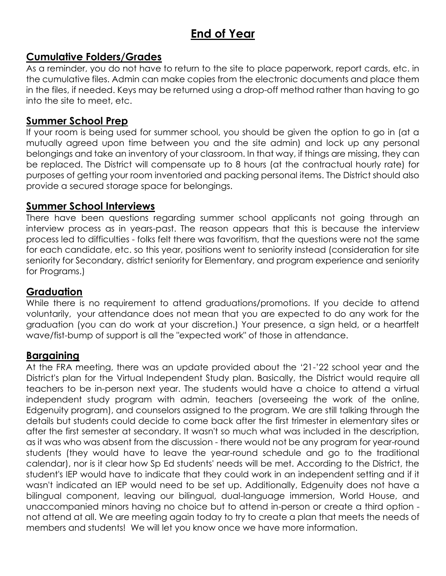## **End of Year**

#### **Cumulative Folders/Grades**

As a reminder, you do not have to return to the site to place paperwork, report cards, etc. in the cumulative files. Admin can make copies from the electronic documents and place them in the files, if needed. Keys may be returned using a drop-off method rather than having to go into the site to meet, etc.

#### **Summer School Prep**

If your room is being used for summer school, you should be given the option to go in (at a mutually agreed upon time between you and the site admin) and lock up any personal belongings and take an inventory of your classroom. In that way, if things are missing, they can be replaced. The District will compensate up to 8 hours (at the contractual hourly rate) for purposes of getting your room inventoried and packing personal items. The District should also provide a secured storage space for belongings.

#### **Summer School Interviews**

There have been questions regarding summer school applicants not going through an interview process as in years-past. The reason appears that this is because the interview process led to difficulties - folks felt there was favoritism, that the questions were not the same for each candidate, etc. so this year, positions went to seniority instead (consideration for site seniority for Secondary, district seniority for Elementary, and program experience and seniority for Programs.)

#### **Graduation**

While there is no requirement to attend graduations/promotions. If you decide to attend voluntarily, your attendance does not mean that you are expected to do any work for the graduation (you can do work at your discretion.) Your presence, a sign held, or a heartfelt wave/fist-bump of support is all the "expected work" of those in attendance.

#### **Bargaining**

At the FRA meeting, there was an update provided about the '21-'22 school year and the District's plan for the Virtual Independent Study plan. Basically, the District would require all teachers to be in-person next year. The students would have a choice to attend a virtual independent study program with admin, teachers (overseeing the work of the online, Edgenuity program), and counselors assigned to the program. We are still talking through the details but students could decide to come back after the first trimester in elementary sites or after the first semester at secondary. It wasn't so much what was included in the description, as it was who was absent from the discussion - there would not be any program for year-round students (they would have to leave the year-round schedule and go to the traditional calendar), nor is it clear how Sp Ed students' needs will be met. According to the District, the student's IEP would have to indicate that they could work in an independent setting and if it wasn't indicated an IEP would need to be set up. Additionally, Edgenuity does not have a bilingual component, leaving our bilingual, dual-language immersion, World House, and unaccompanied minors having no choice but to attend in-person or create a third option not attend at all. We are meeting again today to try to create a plan that meets the needs of members and students! We will let you know once we have more information.